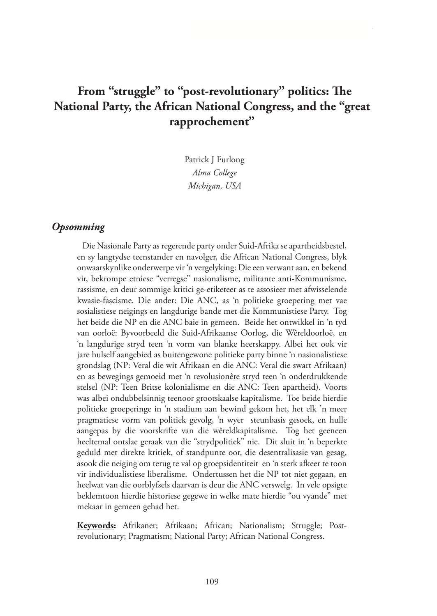# **From "struggle" to "post-revolutionary" politics: The National Party, the African National Congress, and the "great rapprochement"**

Patrick J Furlong *Alma College Michigan, USA* 

## *Opsomming*

Die Nasionale Party as regerende party onder Suid-Afrika se apartheidsbestel, en sy langtydse teenstander en navolger, die African National Congress, blyk onwaarskynlike onderwerpe vir 'n vergelyking: Die een verwant aan, en bekend vir, bekrompe etniese "verregse" nasionalisme, militante anti-Kommunisme, rassisme, en deur sommige kritici ge-etiketeer as te assosieer met afwisselende kwasie-fascisme. Die ander: Die ANC, as 'n politieke groepering met vae sosialistiese neigings en langdurige bande met die Kommunistiese Party. Tog het beide die NP en die ANC baie in gemeen. Beide het ontwikkel in 'n tyd van oorloë: Byvoorbeeld die Suid-Afrikaanse Oorlog, die Wêreldoorloë, en 'n langdurige stryd teen 'n vorm van blanke heerskappy. Albei het ook vir jare hulself aangebied as buitengewone politieke party binne 'n nasionalistiese grondslag (NP: Veral die wit Afrikaan en die ANC: Veral die swart Afrikaan) en as bewegings gemoeid met 'n revolusionêre stryd teen 'n onderdrukkende stelsel (NP: Teen Britse kolonialisme en die ANC: Teen apartheid). Voorts was albei ondubbelsinnig teenoor grootskaalse kapitalisme. Toe beide hierdie politieke groeperinge in 'n stadium aan bewind gekom het, het elk 'n meer pragmatiese vorm van politiek gevolg, 'n wyer steunbasis gesoek, en hulle aangepas by die voorskrifte van die wêreldkapitalisme. Tog het geeneen heeltemal ontslae geraak van die "strydpolitiek" nie. Dit sluit in 'n beperkte geduld met direkte kritiek, of standpunte oor, die desentralisasie van gesag, asook die neiging om terug te val op groepsidentiteit en 'n sterk afkeer te toon vir individualistiese liberalisme. Ondertussen het die NP tot niet gegaan, en heelwat van die oorblyfsels daarvan is deur die ANC verswelg. In vele opsigte beklemtoon hierdie historiese gegewe in welke mate hierdie "ou vyande" met mekaar in gemeen gehad het.

**Keywords:** Afrikaner; Afrikaan; African; Nationalism; Struggle; Postrevolutionary; Pragmatism; National Party; African National Congress.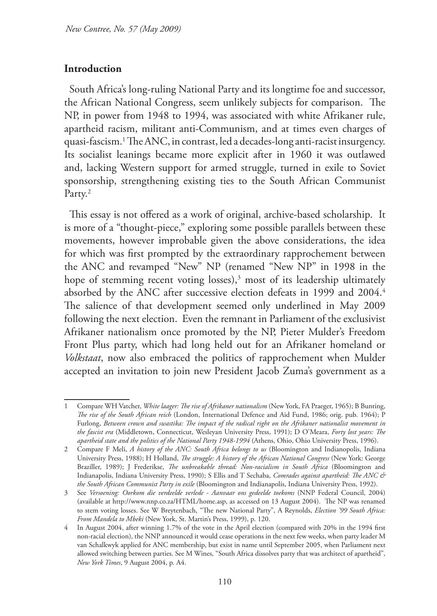## **Introduction**

South Africa's long-ruling National Party and its longtime foe and successor, the African National Congress, seem unlikely subjects for comparison. The NP, in power from 1948 to 1994, was associated with white Afrikaner rule, apartheid racism, militant anti-Communism, and at times even charges of quasi-fascism.1 The ANC, in contrast, led a decades-long anti-racist insurgency. Its socialist leanings became more explicit after in 1960 it was outlawed and, lacking Western support for armed struggle, turned in exile to Soviet sponsorship, strengthening existing ties to the South African Communist Party.<sup>2</sup>

This essay is not offered as a work of original, archive-based scholarship. It is more of a "thought-piece," exploring some possible parallels between these movements, however improbable given the above considerations, the idea for which was first prompted by the extraordinary rapprochement between the ANC and revamped "New" NP (renamed "New NP" in 1998 in the hope of stemming recent voting losses),<sup>3</sup> most of its leadership ultimately absorbed by the ANC after successive election defeats in 1999 and 2004.<sup>4</sup> The salience of that development seemed only underlined in May 2009 following the next election. Even the remnant in Parliament of the exclusivist Afrikaner nationalism once promoted by the NP, Pieter Mulder's Freedom Front Plus party, which had long held out for an Afrikaner homeland or *Volkstaat*, now also embraced the politics of rapprochement when Mulder accepted an invitation to join new President Jacob Zuma's government as a

<sup>1</sup> Compare WH Vatcher, *White laager: The rise of Afrikaner nationalism* (New York, FA Praeger, 1965); B Bunting, *The rise of the South African reich* (London, International Defence and Aid Fund, 1986; orig. pub. 1964); P Furlong, *Between crown and swastika: The impact of the radical right on the Afrikaner nationalist movement in the fascist era* (Middletown, Connecticut, Wesleyan University Press, 1991); D O'Meara, *Forty lost years: The apartheid state and the politics of the National Party 1948-1994* (Athens, Ohio, Ohio University Press, 1996).

<sup>2</sup> Compare F Meli, *A history of the ANC: South Africa belongs to us* (Bloomington and Indianopolis, Indiana University Press, 1988); H Holland, *The struggle: A history of the African National Congress* (New York: George Braziller, 1989); J Frederikse, *The unbreakable thread: Non-racialism in South Africa* (Bloomington and Indianapolis, Indiana University Press, 1990); S Ellis and T Sechaba, *Comrades against apartheid: The ANC & the South African Communist Party in exile* (Bloomington and Indianapolis, Indiana University Press, 1992).

<sup>3</sup> See *Versoening: Oorkom die verdeelde verlede - Aanvaar ons gedeelde toekoms* (NNP Federal Council, 2004) (available at http://www.nnp.co.za/HTML/home.asp, as accessed on 13 August 2004). The NP was renamed to stem voting losses. See W Breytenbach, "The new National Party", A Reynolds, *Election '99 South Africa: From Mandela to Mbeki* (New York, St. Martin's Press, 1999), p. 120.

<sup>4</sup> In August 2004, after winning 1.7% of the vote in the April election (compared with 20% in the 1994 first non-racial election), the NNP announced it would cease operations in the next few weeks, when party leader M van Schalkwyk applied for ANC membership, but exist in name until September 2005, when Parliament next allowed switching between parties. See M Wines, "South Africa dissolves party that was architect of apartheid", *New York Times*, 9 August 2004, p. A4.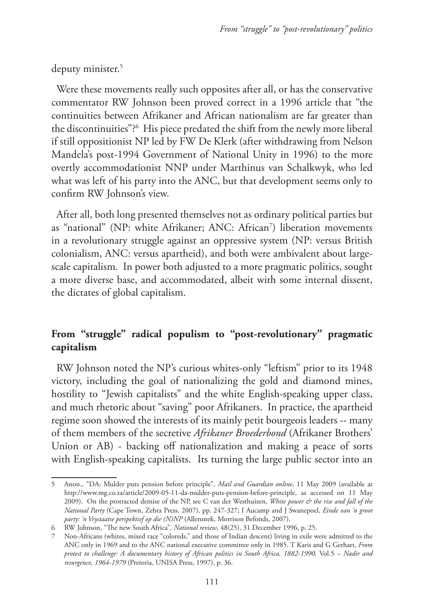## deputy minister.5

Were these movements really such opposites after all, or has the conservative commentator RW Johnson been proved correct in a 1996 article that "the continuities between Afrikaner and African nationalism are far greater than the discontinuities"?6 His piece predated the shift from the newly more liberal if still oppositionist NP led by FW De Klerk (after withdrawing from Nelson Mandela's post-1994 Government of National Unity in 1996) to the more overtly accommodationist NNP under Marthinus van Schalkwyk, who led what was left of his party into the ANC, but that development seems only to confirm RW Johnson's view.

After all, both long presented themselves not as ordinary political parties but as "national" (NP: white Afrikaner; ANC: African7 ) liberation movements in a revolutionary struggle against an oppressive system (NP: versus British colonialism, ANC: versus apartheid), and both were ambivalent about largescale capitalism. In power both adjusted to a more pragmatic politics, sought a more diverse base, and accommodated, albeit with some internal dissent, the dictates of global capitalism.

## **From "struggle" radical populism to "post-revolutionary" pragmatic capitalism**

RW Johnson noted the NP's curious whites-only "leftism" prior to its 1948 victory, including the goal of nationalizing the gold and diamond mines, hostility to "Jewish capitalists" and the white English-speaking upper class, and much rhetoric about "saving" poor Afrikaners. In practice, the apartheid regime soon showed the interests of its mainly petit bourgeois leaders -- many of them members of the secretive *Afrikaner Broederbond* (Afrikaner Brothers' Union or AB) - backing off nationalization and making a peace of sorts with English-speaking capitalists. Its turning the large public sector into an

<sup>5</sup> Anon., "DA: Mulder puts pension before principle", *Mail and Guardian online*, 11 May 2009 (available at http://www.mg.co.za/article/2009-05-11-da-mulder-puts-pension-before-principle, as accessed on 11 May 2009). On the protracted demise of the NP, see C van der Westhuizen, *White power & the rise and fall of the National Party* (Cape Town, Zebra Press, 2007), pp. 247-327; I Aucamp and J Swanepoel, *Einde van 'n groot party: 'n Vrystaatse perspektief op die (N)NP* (Allensnek, Morrison Befonds, 2007).

<sup>6</sup> RW Johnson, "The new South Africa", *National review*, 48(25), 31 December 1996, p. 25.

<sup>7</sup> Non-Africans (whites, mixed race "coloreds," and those of Indian descent) living in exile were admitted to the ANC only in 1969 and to the ANC national executive committee only in 1985. T Karis and G Gerhart, *From protest to challenge: A documentary history of African politics in South Africa, 1882-1990,* Vol.5 *– Nadir and resurgence, 1964-1979* (Pretoria, UNISA Press, 1997), p. 36.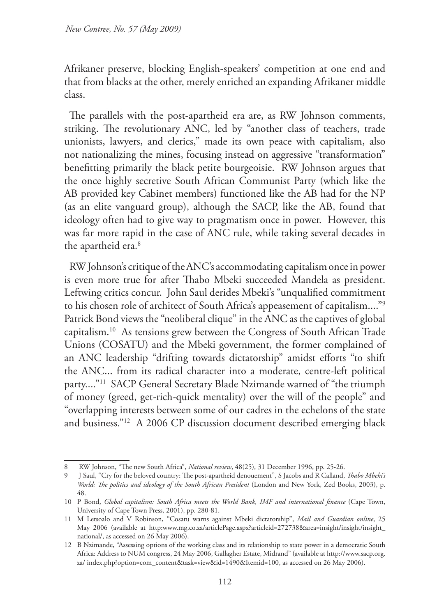Afrikaner preserve, blocking English-speakers' competition at one end and that from blacks at the other, merely enriched an expanding Afrikaner middle class.

The parallels with the post-apartheid era are, as RW Johnson comments, striking. The revolutionary ANC, led by "another class of teachers, trade unionists, lawyers, and clerics," made its own peace with capitalism, also not nationalizing the mines, focusing instead on aggressive "transformation" benefitting primarily the black petite bourgeoisie. RW Johnson argues that the once highly secretive South African Communist Party (which like the AB provided key Cabinet members) functioned like the AB had for the NP (as an elite vanguard group), although the SACP, like the AB, found that ideology often had to give way to pragmatism once in power. However, this was far more rapid in the case of ANC rule, while taking several decades in the apartheid era.<sup>8</sup>

RW Johnson's critique of the ANC's accommodating capitalism once in power is even more true for after Thabo Mbeki succeeded Mandela as president. Leftwing critics concur. John Saul derides Mbeki's "unqualified commitment to his chosen role of architect of South Africa's appeasement of capitalism...."9 Patrick Bond views the "neoliberal clique" in the ANC as the captives of global capitalism.10 As tensions grew between the Congress of South African Trade Unions (COSATU) and the Mbeki government, the former complained of an ANC leadership "drifting towards dictatorship" amidst efforts "to shift the ANC... from its radical character into a moderate, centre-left political party...."11 SACP General Secretary Blade Nzimande warned of "the triumph of money (greed, get-rich-quick mentality) over the will of the people" and "overlapping interests between some of our cadres in the echelons of the state and business."12 A 2006 CP discussion document described emerging black

<sup>8</sup> RW Johnson, "The new South Africa", *National review*, 48(25), 31 December 1996, pp. 25-26.

<sup>9</sup> J Saul, "Cry for the beloved country: The post-apartheid denouement", S Jacobs and R Calland, *Thabo Mbeki's World: The politics and ideology of the South African President* (London and New York, Zed Books, 2003), p. 48.

<sup>10</sup> P Bond, *Global capitalism: South Africa meets the World Bank, IMF and international finance* (Cape Town, University of Cape Town Press, 2001), pp. 280-81.

<sup>11</sup> M Letsoalo and V Robinson, "Cosatu warns against Mbeki dictatorship", *Mail and Guardian online*, 25 May 2006 (available at http:www.mg.co.za/articlePage.aspx?articleid=272738&area=insight/insight/insight\_ national/, as accessed on 26 May 2006).

<sup>12</sup> B Nzimande, "Assessing options of the working class and its relationship to state power in a democratic South Africa: Address to NUM congress, 24 May 2006, Gallagher Estate, Midrand" (available at http://www.sacp.org. za/ index.php?option=com\_content&task=view&id=1490&Itemid=100, as accessed on 26 May 2006).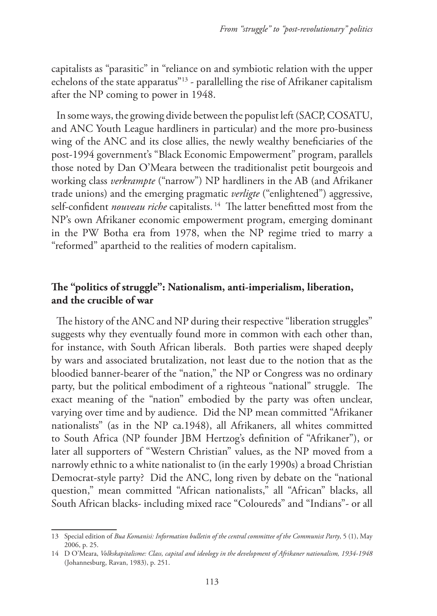capitalists as "parasitic" in "reliance on and symbiotic relation with the upper echelons of the state apparatus"13 - parallelling the rise of Afrikaner capitalism after the NP coming to power in 1948.

In some ways, the growing divide between the populist left (SACP, COSATU, and ANC Youth League hardliners in particular) and the more pro-business wing of the ANC and its close allies, the newly wealthy beneficiaries of the post-1994 government's "Black Economic Empowerment" program, parallels those noted by Dan O'Meara between the traditionalist petit bourgeois and working class *verkrampte* ("narrow") NP hardliners in the AB (and Afrikaner trade unions) and the emerging pragmatic *verligte* ("enlightened") aggressive, self-confident *nouveau riche* capitalists.<sup>14</sup> The latter benefitted most from the NP's own Afrikaner economic empowerment program, emerging dominant in the PW Botha era from 1978, when the NP regime tried to marry a "reformed" apartheid to the realities of modern capitalism.

## **The "politics of struggle": Nationalism, anti-imperialism, liberation, and the crucible of war**

The history of the ANC and NP during their respective "liberation struggles" suggests why they eventually found more in common with each other than, for instance, with South African liberals. Both parties were shaped deeply by wars and associated brutalization, not least due to the notion that as the bloodied banner-bearer of the "nation," the NP or Congress was no ordinary party, but the political embodiment of a righteous "national" struggle. The exact meaning of the "nation" embodied by the party was often unclear, varying over time and by audience. Did the NP mean committed "Afrikaner nationalists" (as in the NP ca.1948), all Afrikaners, all whites committed to South Africa (NP founder JBM Hertzog's definition of "Afrikaner"), or later all supporters of "Western Christian" values, as the NP moved from a narrowly ethnic to a white nationalist to (in the early 1990s) a broad Christian Democrat-style party? Did the ANC, long riven by debate on the "national question," mean committed "African nationalists," all "African" blacks, all South African blacks- including mixed race "Coloureds" and "Indians"- or all

<sup>13</sup> Special edition of *Bua Komanisi: Information bulletin of the central committee of the Communist Party*, 5 (1), May 2006, p. 25.

<sup>14</sup> D O'Meara, *Volkskapitalisme: Class, capital and ideology in the development of Afrikaner nationalism, 1934-1948*  (Johannesburg, Ravan, 1983), p. 251.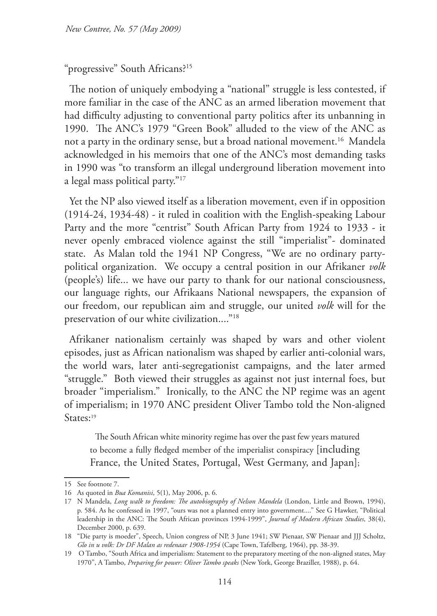## "progressive" South Africans?15

The notion of uniquely embodying a "national" struggle is less contested, if more familiar in the case of the ANC as an armed liberation movement that had difficulty adjusting to conventional party politics after its unbanning in 1990. The ANC's 1979 "Green Book" alluded to the view of the ANC as not a party in the ordinary sense, but a broad national movement.<sup>16</sup> Mandela acknowledged in his memoirs that one of the ANC's most demanding tasks in 1990 was "to transform an illegal underground liberation movement into a legal mass political party."17

Yet the NP also viewed itself as a liberation movement, even if in opposition (1914-24, 1934-48) - it ruled in coalition with the English-speaking Labour Party and the more "centrist" South African Party from 1924 to 1933 - it never openly embraced violence against the still "imperialist"- dominated state. As Malan told the 1941 NP Congress, "We are no ordinary partypolitical organization. We occupy a central position in our Afrikaner *volk* (people's) life... we have our party to thank for our national consciousness, our language rights, our Afrikaans National newspapers, the expansion of our freedom, our republican aim and struggle, our united *volk* will for the preservation of our white civilization...."<sup>18</sup>

Afrikaner nationalism certainly was shaped by wars and other violent episodes, just as African nationalism was shaped by earlier anti-colonial wars, the world wars, later anti-segregationist campaigns, and the later armed "struggle." Both viewed their struggles as against not just internal foes, but broader "imperialism." Ironically, to the ANC the NP regime was an agent of imperialism; in 1970 ANC president Oliver Tambo told the Non-aligned States:<sup>19</sup>

The South African white minority regime has over the past few years matured to become a fully fledged member of the imperialist conspiracy [including France, the United States, Portugal, West Germany, and Japan];

<sup>15</sup> See footnote 7.

<sup>16</sup> As quoted in *Bua Komanisi*, 5(1), May 2006, p. 6.

<sup>17</sup> N Mandela, *Long walk to freedom: The autobiography of Nelson Mandela* (London, Little and Brown, 1994), p. 584. As he confessed in 1997, "ours was not a planned entry into government...." See G Hawker, "Political leadership in the ANC: The South African provinces 1994-1999", *Journal of Modern African Studies*, 38(4), December 2000, p. 639.

<sup>18</sup> "Die party is moeder", Speech, Union congress of NP, 3 June 1941; SW Pienaar, SW Pienaar and JJJ Scholtz, *Glo in u volk: Dr DF Malan as redenaar 1908-1954* (Cape Town, Tafelberg, 1964), pp. 38-39.

<sup>19</sup> O Tambo, "South Africa and imperialism: Statement to the preparatory meeting of the non-aligned states, May 1970", A Tambo, *Preparing for power: Oliver Tambo speaks* (New York, George Braziller, 1988), p. 64.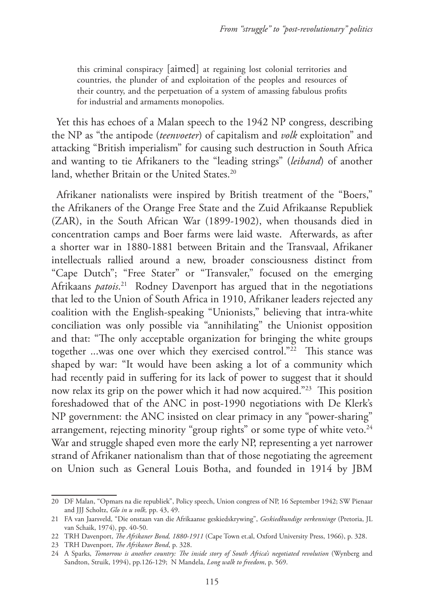this criminal conspiracy [aimed] at regaining lost colonial territories and countries, the plunder of and exploitation of the peoples and resources of their country, and the perpetuation of a system of amassing fabulous profits for industrial and armaments monopolies.

Yet this has echoes of a Malan speech to the 1942 NP congress, describing the NP as "the antipode (*teenvoeter*) of capitalism and *volk* exploitation" and attacking "British imperialism" for causing such destruction in South Africa and wanting to tie Afrikaners to the "leading strings" (*leiband*) of another land, whether Britain or the United States.<sup>20</sup>

Afrikaner nationalists were inspired by British treatment of the "Boers," the Afrikaners of the Orange Free State and the Zuid Afrikaanse Republiek (ZAR), in the South African War (1899-1902), when thousands died in concentration camps and Boer farms were laid waste. Afterwards, as after a shorter war in 1880-1881 between Britain and the Transvaal, Afrikaner intellectuals rallied around a new, broader consciousness distinct from "Cape Dutch"; "Free Stater" or "Transvaler," focused on the emerging Afrikaans *patois*. 21 Rodney Davenport has argued that in the negotiations that led to the Union of South Africa in 1910, Afrikaner leaders rejected any coalition with the English-speaking "Unionists," believing that intra-white conciliation was only possible via "annihilating" the Unionist opposition and that: "The only acceptable organization for bringing the white groups together ...was one over which they exercised control."22 This stance was shaped by war: "It would have been asking a lot of a community which had recently paid in suffering for its lack of power to suggest that it should now relax its grip on the power which it had now acquired."23 This position foreshadowed that of the ANC in post-1990 negotiations with De Klerk's NP government: the ANC insisted on clear primacy in any "power-sharing" arrangement, rejecting minority "group rights" or some type of white veto.<sup>24</sup> War and struggle shaped even more the early NP, representing a yet narrower strand of Afrikaner nationalism than that of those negotiating the agreement on Union such as General Louis Botha, and founded in 1914 by JBM

<sup>20</sup> DF Malan, "Opmars na die republiek", Policy speech, Union congress of NP, 16 September 1942; SW Pienaar and JJJ Scholtz, *Glo in u volk,* pp. 43, 49.

<sup>21</sup> FA van Jaarsveld, "Die onstaan van die Afrikaanse geskiedskrywing", *Geskiedkundige verkenninge* (Pretoria, JL van Schaik, 1974), pp. 40-50.

<sup>22</sup> TRH Davenport, *The Afrikaner Bond, 1880-1911* (Cape Town et.al, Oxford University Press, 1966), p. 328.

<sup>23</sup> TRH Davenport, *The Afrikaner Bond*, p. 328.

<sup>24</sup> A Sparks, *Tomorrow is another country: The inside story of South Africa's negotiated revolution* (Wynberg and Sandton, Struik, 1994), pp.126-129; N Mandela, *Long walk to freedom*, p. 569.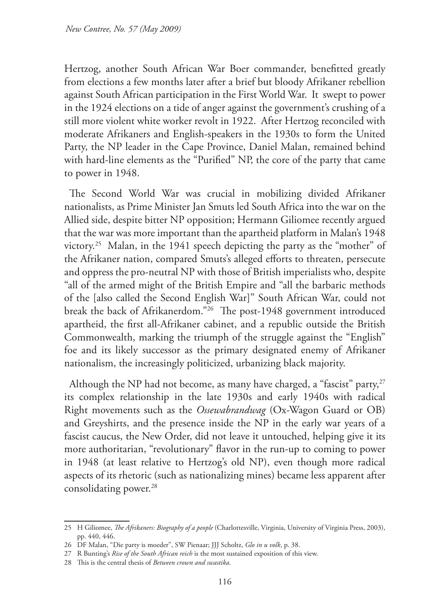Hertzog, another South African War Boer commander, benefitted greatly from elections a few months later after a brief but bloody Afrikaner rebellion against South African participation in the First World War. It swept to power in the 1924 elections on a tide of anger against the government's crushing of a still more violent white worker revolt in 1922. After Hertzog reconciled with moderate Afrikaners and English-speakers in the 1930s to form the United Party, the NP leader in the Cape Province, Daniel Malan, remained behind with hard-line elements as the "Purified" NP, the core of the party that came to power in 1948.

The Second World War was crucial in mobilizing divided Afrikaner nationalists, as Prime Minister Jan Smuts led South Africa into the war on the Allied side, despite bitter NP opposition; Hermann Giliomee recently argued that the war was more important than the apartheid platform in Malan's 1948 victory.25 Malan, in the 1941 speech depicting the party as the "mother" of the Afrikaner nation, compared Smuts's alleged efforts to threaten, persecute and oppress the pro-neutral NP with those of British imperialists who, despite "all of the armed might of the British Empire and "all the barbaric methods of the [also called the Second English War]" South African War, could not break the back of Afrikanerdom."26 The post-1948 government introduced apartheid, the first all-Afrikaner cabinet, and a republic outside the British Commonwealth, marking the triumph of the struggle against the "English" foe and its likely successor as the primary designated enemy of Afrikaner nationalism, the increasingly politicized, urbanizing black majority.

Although the NP had not become, as many have charged, a "fascist" party,  $27$ its complex relationship in the late 1930s and early 1940s with radical Right movements such as the *Ossewabrandwag* (Ox-Wagon Guard or OB) and Greyshirts, and the presence inside the NP in the early war years of a fascist caucus, the New Order, did not leave it untouched, helping give it its more authoritarian, "revolutionary" flavor in the run-up to coming to power in 1948 (at least relative to Hertzog's old NP), even though more radical aspects of its rhetoric (such as nationalizing mines) became less apparent after consolidating power.<sup>28</sup>

<sup>25</sup> H Giliomee, *The Afrikaners: Biography of a people* (Charlottesville, Virginia, University of Virginia Press, 2003), pp. 440, 446.

<sup>26</sup> DF Malan, "Die party is moeder", SW Pienaar; JJJ Scholtz, *Glo in u volk*, p. 38.

<sup>27</sup> R Bunting's *Rise of the South African reich* is the most sustained exposition of this view.

<sup>28</sup> This is the central thesis of *Between crown and swastika*.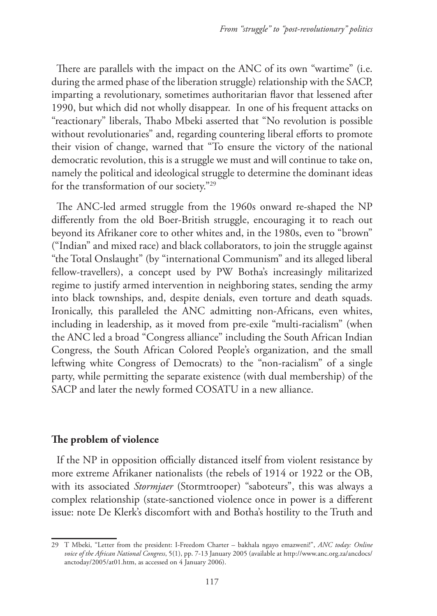There are parallels with the impact on the ANC of its own "wartime" (i.e. during the armed phase of the liberation struggle) relationship with the SACP, imparting a revolutionary, sometimes authoritarian flavor that lessened after 1990, but which did not wholly disappear. In one of his frequent attacks on "reactionary" liberals, Thabo Mbeki asserted that "No revolution is possible without revolutionaries" and, regarding countering liberal efforts to promote their vision of change, warned that "To ensure the victory of the national democratic revolution, this is a struggle we must and will continue to take on, namely the political and ideological struggle to determine the dominant ideas for the transformation of our society."29

The ANC-led armed struggle from the 1960s onward re-shaped the NP differently from the old Boer-British struggle, encouraging it to reach out beyond its Afrikaner core to other whites and, in the 1980s, even to "brown" ("Indian" and mixed race) and black collaborators, to join the struggle against "the Total Onslaught" (by "international Communism" and its alleged liberal fellow-travellers), a concept used by PW Botha's increasingly militarized regime to justify armed intervention in neighboring states, sending the army into black townships, and, despite denials, even torture and death squads. Ironically, this paralleled the ANC admitting non-Africans, even whites, including in leadership, as it moved from pre-exile "multi-racialism" (when the ANC led a broad "Congress alliance" including the South African Indian Congress, the South African Colored People's organization, and the small leftwing white Congress of Democrats) to the "non-racialism" of a single party, while permitting the separate existence (with dual membership) of the SACP and later the newly formed COSATU in a new alliance.

### **The problem of violence**

If the NP in opposition officially distanced itself from violent resistance by more extreme Afrikaner nationalists (the rebels of 1914 or 1922 or the OB, with its associated *Stormjaer* (Stormtrooper) "saboteurs", this was always a complex relationship (state-sanctioned violence once in power is a different issue: note De Klerk's discomfort with and Botha's hostility to the Truth and

<sup>29</sup> T Mbeki, "Letter from the president: I-Freedom Charter – bakhala ngayo emazweni!", *ANC today: Online voice of the African National Congress*, 5(1), pp. 7-13 January 2005 (available at http://www.anc.org.za/ancdocs/ anctoday/2005/at01.htm, as accessed on 4 January 2006).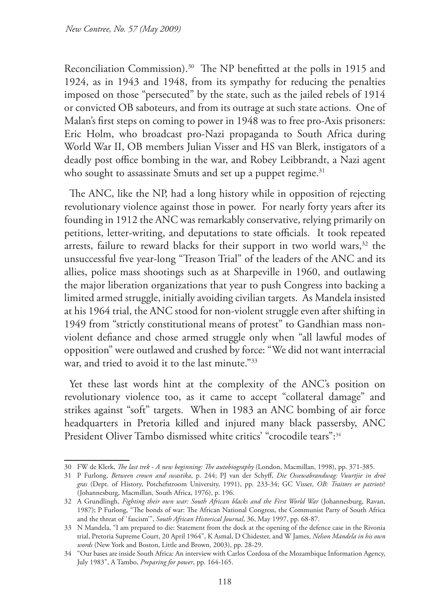Reconciliation Commission).<sup>30</sup> The NP benefitted at the polls in 1915 and 1924, as in 1943 and 1948, from its sympathy for reducing the penalties imposed on those "persecuted" by the state, such as the jailed rebels of 1914 or convicted OB saboteurs, and from its outrage at such state actions. One of Malan's first steps on coming to power in 1948 was to free pro-Axis prisoners: Eric Holm, who broadcast pro-Nazi propaganda to South Africa during World War II, OB members Julian Visser and HS van Blerk, instigators of a deadly post office bombing in the war, and Robey Leibbrandt, a Nazi agent who sought to assassinate Smuts and set up a puppet regime.<sup>31</sup>

The ANC, like the NP, had a long history while in opposition of rejecting revolutionary violence against those in power. For nearly forty years after its founding in 1912 the ANC was remarkably conservative, relying primarily on petitions, letter-writing, and deputations to state officials. It took repeated arrests, failure to reward blacks for their support in two world wars,<sup>32</sup> the unsuccessful five year-long "Treason Trial" of the leaders of the ANC and its allies, police mass shootings such as at Sharpeville in 1960, and outlawing the major liberation organizations that year to push Congress into backing a limited armed struggle, initially avoiding civilian targets. As Mandela insisted at his 1964 trial, the ANC stood for non-violent struggle even after shifting in 1949 from "strictly constitutional means of protest" to Gandhian mass nonviolent defiance and chose armed struggle only when "all lawful modes of opposition" were outlawed and crushed by force: "We did not want interracial war, and tried to avoid it to the last minute."33

Yet these last words hint at the complexity of the ANC's position on revolutionary violence too, as it came to accept "collateral damage" and strikes against "soft" targets. When in 1983 an ANC bombing of air force headquarters in Pretoria killed and injured many black passersby, ANC President Oliver Tambo dismissed white critics' "crocodile tears":34

<sup>30</sup> FW de Klerk, *The last trek - A new beginning: The autobiography* (London, Macmillan, 1998), pp. 371-385.

<sup>31</sup> P Furlong, *Between crown and swastika*, p. 244; PJ van der Schyff, *Die Ossewabrandwag: Vuurtjie in droë gras* (Dept. of History, Potchefstroom University, 1991), pp. 233-34; GC Visser, *OB: Traitors or patriots*? (Johannesburg, Macmillan, South Africa, 1976), p. 196.

<sup>32</sup> A Grundlingh, *Fighting their own war: South African blacks and the First World War* (Johannesburg, Ravan, 1987); P Furlong, "The bonds of war: The African National Congress, the Communist Party of South Africa and the threat of `fascism'", *South African Historical Journal*, 36, May 1997, pp. 68-87.

<sup>33</sup> N Mandela, "I am prepared to die: Statement from the dock at the opening of the defence case in the Rivonia trial, Pretoria Supreme Court, 20 April 1964", K Asmal, D Chidester, and W James, *Nelson Mandela in his own words* (New York and Boston, Little and Brown, 2003), pp. 28-29.

<sup>34</sup> "Our bases are inside South Africa: An interview with Carlos Cordosa of the Mozambique Information Agency, July 1983", A Tambo, *Preparing for power*, pp. 164-165.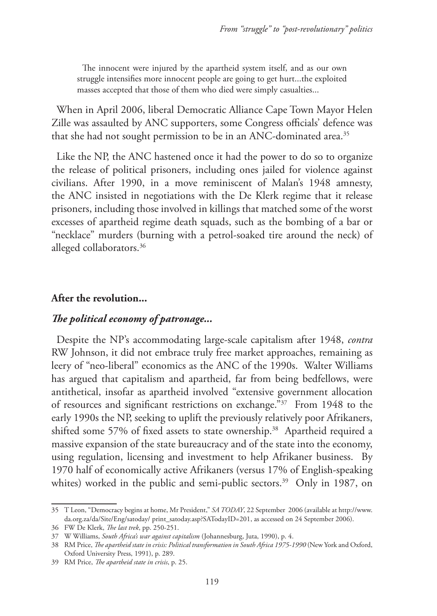The innocent were injured by the apartheid system itself, and as our own struggle intensifies more innocent people are going to get hurt...the exploited masses accepted that those of them who died were simply casualties...

When in April 2006, liberal Democratic Alliance Cape Town Mayor Helen Zille was assaulted by ANC supporters, some Congress officials' defence was that she had not sought permission to be in an ANC-dominated area.<sup>35</sup>

Like the NP, the ANC hastened once it had the power to do so to organize the release of political prisoners, including ones jailed for violence against civilians. After 1990, in a move reminiscent of Malan's 1948 amnesty, the ANC insisted in negotiations with the De Klerk regime that it release prisoners, including those involved in killings that matched some of the worst excesses of apartheid regime death squads, such as the bombing of a bar or "necklace" murders (burning with a petrol-soaked tire around the neck) of alleged collaborators.<sup>36</sup>

#### **After the revolution...**

## *The political economy of patronage...*

Despite the NP's accommodating large-scale capitalism after 1948, *contra* RW Johnson, it did not embrace truly free market approaches, remaining as leery of "neo-liberal" economics as the ANC of the 1990s. Walter Williams has argued that capitalism and apartheid, far from being bedfellows, were antithetical, insofar as apartheid involved "extensive government allocation of resources and significant restrictions on exchange."37 From 1948 to the early 1990s the NP, seeking to uplift the previously relatively poor Afrikaners, shifted some 57% of fixed assets to state ownership.<sup>38</sup> Apartheid required a massive expansion of the state bureaucracy and of the state into the economy, using regulation, licensing and investment to help Afrikaner business. By 1970 half of economically active Afrikaners (versus 17% of English-speaking whites) worked in the public and semi-public sectors.<sup>39</sup> Only in 1987, on

<sup>35</sup> T Leon, "Democracy begins at home, Mr President," *SA TODAY*, 22 September 2006 (available at http://www. da.org.za/da/Site/Eng/satoday/ print\_satoday.asp?SATodayID=201, as accessed on 24 September 2006).

<sup>36</sup> FW De Klerk, *The last trek*, pp. 250-251.

<sup>37</sup> W Williams, *South Africa's war against capitalism* (Johannesburg, Juta, 1990), p. 4.

<sup>38</sup> RM Price, *The apartheid state in crisis: Political transformation in South Africa 1975-1990* (New York and Oxford, Oxford University Press, 1991), p. 289.

<sup>39</sup> RM Price, *The apartheid state in crisis*, p. 25.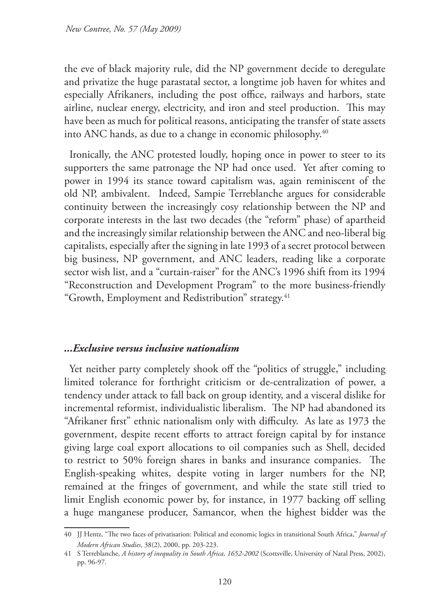the eve of black majority rule, did the NP government decide to deregulate and privatize the huge parastatal sector, a longtime job haven for whites and especially Afrikaners, including the post office, railways and harbors, state airline, nuclear energy, electricity, and iron and steel production. This may have been as much for political reasons, anticipating the transfer of state assets into ANC hands, as due to a change in economic philosophy.40

Ironically, the ANC protested loudly, hoping once in power to steer to its supporters the same patronage the NP had once used. Yet after coming to power in 1994 its stance toward capitalism was, again reminiscent of the old NP, ambivalent. Indeed, Sampie Terreblanche argues for considerable continuity between the increasingly cosy relationship between the NP and corporate interests in the last two decades (the "reform" phase) of apartheid and the increasingly similar relationship between the ANC and neo-liberal big capitalists, especially after the signing in late 1993 of a secret protocol between big business, NP government, and ANC leaders, reading like a corporate sector wish list, and a "curtain-raiser" for the ANC's 1996 shift from its 1994 "Reconstruction and Development Program" to the more business-friendly "Growth, Employment and Redistribution" strategy.41

## *...Exclusive versus inclusive nationalism*

Yet neither party completely shook off the "politics of struggle," including limited tolerance for forthright criticism or de-centralization of power, a tendency under attack to fall back on group identity, and a visceral dislike for incremental reformist, individualistic liberalism. The NP had abandoned its "Afrikaner first" ethnic nationalism only with difficulty. As late as 1973 the government, despite recent efforts to attract foreign capital by for instance giving large coal export allocations to oil companies such as Shell, decided to restrict to 50% foreign shares in banks and insurance companies. The English-speaking whites, despite voting in larger numbers for the NP, remained at the fringes of government, and while the state still tried to limit English economic power by, for instance, in 1977 backing off selling a huge manganese producer, Samancor, when the highest bidder was the

<sup>40</sup> JJ Hentz, "The two faces of privatisation: Political and economic logics in transitional South Africa," *Journal of Modern African Studies*, 38(2), 2000, pp. 203-223.

<sup>41</sup> S Terreblanche, *A history of inequality in South Africa, 1652-2002* (Scottsville, University of Natal Press, 2002), pp. 96-97.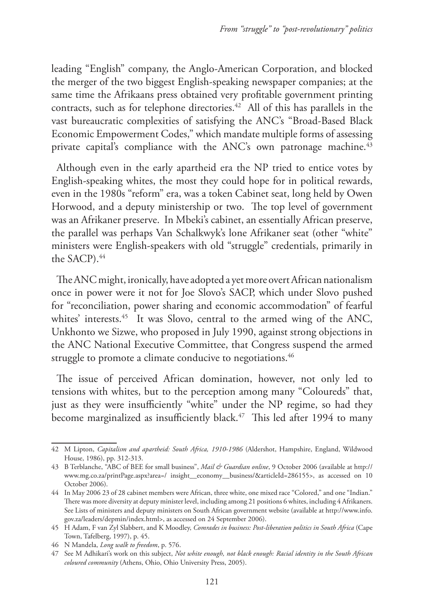leading "English" company, the Anglo-American Corporation, and blocked the merger of the two biggest English-speaking newspaper companies; at the same time the Afrikaans press obtained very profitable government printing contracts, such as for telephone directories.<sup>42</sup> All of this has parallels in the vast bureaucratic complexities of satisfying the ANC's "Broad-Based Black Economic Empowerment Codes," which mandate multiple forms of assessing private capital's compliance with the ANC's own patronage machine.<sup>43</sup>

Although even in the early apartheid era the NP tried to entice votes by English-speaking whites, the most they could hope for in political rewards, even in the 1980s "reform" era, was a token Cabinet seat, long held by Owen Horwood, and a deputy ministership or two. The top level of government was an Afrikaner preserve. In Mbeki's cabinet, an essentially African preserve, the parallel was perhaps Van Schalkwyk's lone Afrikaner seat (other "white" ministers were English-speakers with old "struggle" credentials, primarily in the SACP).<sup>44</sup>

The ANC might, ironically, have adopted a yet more overt African nationalism once in power were it not for Joe Slovo's SACP, which under Slovo pushed for "reconciliation, power sharing and economic accommodation" of fearful whites' interests.<sup>45</sup> It was Slovo, central to the armed wing of the ANC, Unkhonto we Sizwe, who proposed in July 1990, against strong objections in the ANC National Executive Committee, that Congress suspend the armed struggle to promote a climate conducive to negotiations.<sup>46</sup>

The issue of perceived African domination, however, not only led to tensions with whites, but to the perception among many "Coloureds" that, just as they were insufficiently "white" under the NP regime, so had they become marginalized as insufficiently black.<sup>47</sup> This led after 1994 to many

<sup>42</sup> M Lipton, *Capitalism and apartheid: South Africa, 1910-1986* (Aldershot, Hampshire, England, Wildwood House, 1986), pp. 312-313.

<sup>43</sup> B Terblanche, "ABC of BEE for small business", *Mail & Guardian online*, 9 October 2006 (available at http:// www.mg.co.za/printPage.aspx?area=/ insight\_\_economy\_\_business/&articleId=286155>, as accessed on 10 October 2006).

<sup>44</sup> In May 2006 23 of 28 cabinet members were African, three white, one mixed race "Colored," and one "Indian." There was more diversity at deputy minister level, including among 21 positions 6 whites, including 4 Afrikaners. See Lists of ministers and deputy ministers on South African government website (available at http://www.info. gov.za/leaders/depmin/index.html>, as accessed on 24 September 2006).

<sup>45</sup> H Adam, F van Zyl Slabbert, and K Moodley, *Comrades in business: Post-liberation politics in South Africa* (Cape Town, Tafelberg, 1997), p. 45.

<sup>46</sup> N Mandela, *Long walk to freedom*, p. 576.

<sup>47</sup> See M Adhikari's work on this subject, *Not white enough, not black enough: Racial identity in the South African coloured community* (Athens, Ohio, Ohio University Press, 2005).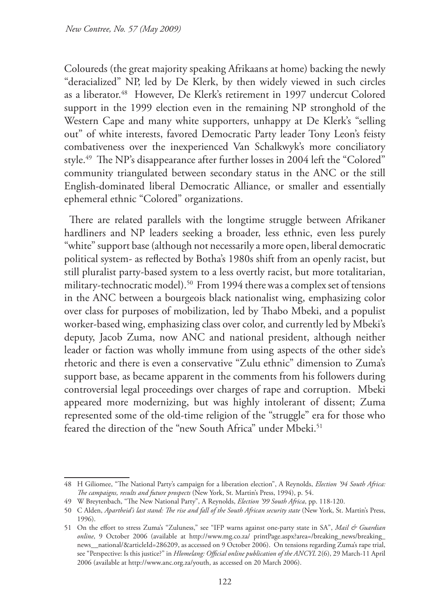Coloureds (the great majority speaking Afrikaans at home) backing the newly "deracialized" NP, led by De Klerk, by then widely viewed in such circles as a liberator.<sup>48</sup> However, De Klerk's retirement in 1997 undercut Colored support in the 1999 election even in the remaining NP stronghold of the Western Cape and many white supporters, unhappy at De Klerk's "selling out" of white interests, favored Democratic Party leader Tony Leon's feisty combativeness over the inexperienced Van Schalkwyk's more conciliatory style.49 The NP's disappearance after further losses in 2004 left the "Colored" community triangulated between secondary status in the ANC or the still English-dominated liberal Democratic Alliance, or smaller and essentially ephemeral ethnic "Colored" organizations.

There are related parallels with the longtime struggle between Afrikaner hardliners and NP leaders seeking a broader, less ethnic, even less purely "white" support base (although not necessarily a more open, liberal democratic political system- as reflected by Botha's 1980s shift from an openly racist, but still pluralist party-based system to a less overtly racist, but more totalitarian, military-technocratic model).<sup>50</sup> From 1994 there was a complex set of tensions in the ANC between a bourgeois black nationalist wing, emphasizing color over class for purposes of mobilization, led by Thabo Mbeki, and a populist worker-based wing, emphasizing class over color, and currently led by Mbeki's deputy, Jacob Zuma, now ANC and national president, although neither leader or faction was wholly immune from using aspects of the other side's rhetoric and there is even a conservative "Zulu ethnic" dimension to Zuma's support base, as became apparent in the comments from his followers during controversial legal proceedings over charges of rape and corruption. Mbeki appeared more modernizing, but was highly intolerant of dissent; Zuma represented some of the old-time religion of the "struggle" era for those who feared the direction of the "new South Africa" under Mbeki.<sup>51</sup>

<sup>48</sup> H Giliomee, "The National Party's campaign for a liberation election", A Reynolds, *Election '94 South Africa: The campaigns, results and future prospects* (New York, St. Martin's Press, 1994), p. 54.

<sup>49</sup> W Breytenbach, "The New National Party", A Reynolds, *Election '99 South Africa*, pp. 118-120.

<sup>50</sup> C Alden, *Apartheid's last stand: The rise and fall of the South African security state* (New York, St. Martin's Press, 1996).

<sup>51</sup> On the effort to stress Zuma's "Zuluness," see "IFP warns against one-party state in SA", *Mail & Guardian online*, 9 October 2006 (available at http://www.mg.co.za/ printPage.aspx?area=/breaking\_news/breaking\_ news\_\_national/&articleId=286209, as accessed on 9 October 2006). On tensions regarding Zuma's rape trial, see "Perspective: Is this justice?" in *Hlomelang: Official online publication of the ANCYL* 2(6), 29 March-11 April 2006 (available at http://www.anc.org.za/youth, as accessed on 20 March 2006).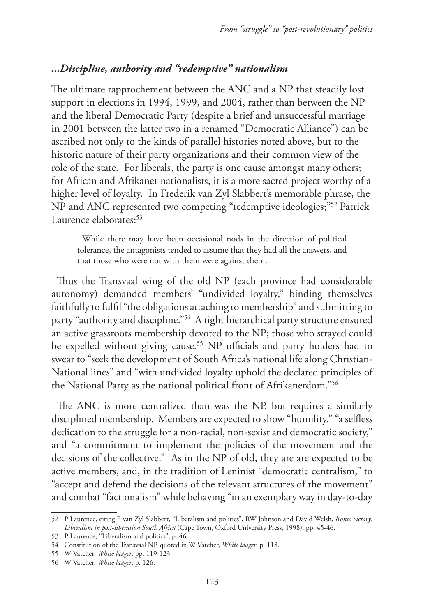## *...Discipline, authority and "redemptive" nationalism*

The ultimate rapprochement between the ANC and a NP that steadily lost support in elections in 1994, 1999, and 2004, rather than between the NP and the liberal Democratic Party (despite a brief and unsuccessful marriage in 2001 between the latter two in a renamed "Democratic Alliance") can be ascribed not only to the kinds of parallel histories noted above, but to the historic nature of their party organizations and their common view of the role of the state. For liberals, the party is one cause amongst many others; for African and Afrikaner nationalists, it is a more sacred project worthy of a higher level of loyalty. In Frederik van Zyl Slabbert's memorable phrase, the NP and ANC represented two competing "redemptive ideologies;"52 Patrick Laurence elaborates:<sup>53</sup>

While there may have been occasional nods in the direction of political tolerance, the antagonists tended to assume that they had all the answers, and that those who were not with them were against them.

Thus the Transvaal wing of the old NP (each province had considerable autonomy) demanded members' "undivided loyalty," binding themselves faithfully to fulfil "the obligations attaching to membership" and submitting to party "authority and discipline."54 A tight hierarchical party structure ensured an active grassroots membership devoted to the NP; those who strayed could be expelled without giving cause.<sup>55</sup> NP officials and party holders had to swear to "seek the development of South Africa's national life along Christian-National lines" and "with undivided loyalty uphold the declared principles of the National Party as the national political front of Afrikanerdom."56

The ANC is more centralized than was the NP, but requires a similarly disciplined membership. Members are expected to show "humility," "a selfless dedication to the struggle for a non-racial, non-sexist and democratic society," and "a commitment to implement the policies of the movement and the decisions of the collective." As in the NP of old, they are are expected to be active members, and, in the tradition of Leninist "democratic centralism," to "accept and defend the decisions of the relevant structures of the movement" and combat "factionalism" while behaving "in an exemplary way in day-to-day

<sup>52</sup> P Laurence, citing F van Zyl Slabbert, "Liberalism and politics", RW Johnson and David Welsh, *Ironic victory: Liberalism in post-liberation South Africa* (Cape Town, Oxford University Press, 1998), pp. 45-46.

<sup>53</sup> P Laurence, "Liberalism and politics", p. 46.

<sup>54</sup> Constitution of the Transvaal NP, quoted in W Vatcher, *White laager*, p. 118.

<sup>55</sup> W Vatcher, *White laager*, pp. 119-123.

<sup>56</sup> W Vatcher, *White laager*, p. 126.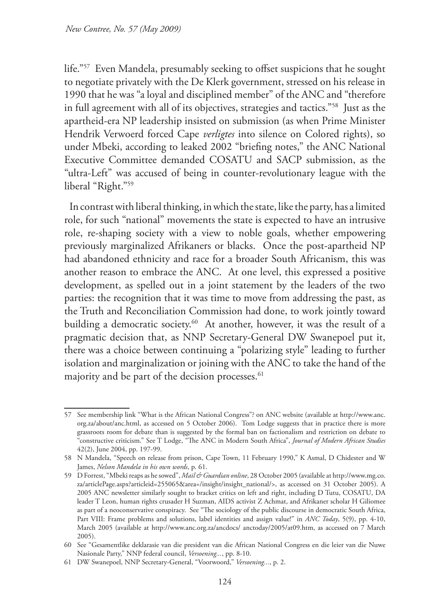life."57 Even Mandela, presumably seeking to offset suspicions that he sought to negotiate privately with the De Klerk government, stressed on his release in 1990 that he was "a loyal and disciplined member" of the ANC and "therefore in full agreement with all of its objectives, strategies and tactics."58 Just as the apartheid-era NP leadership insisted on submission (as when Prime Minister Hendrik Verwoerd forced Cape *verligtes* into silence on Colored rights), so under Mbeki, according to leaked 2002 "briefing notes," the ANC National Executive Committee demanded COSATU and SACP submission, as the "ultra-Left" was accused of being in counter-revolutionary league with the liberal "Right."59

In contrast with liberal thinking, in which the state, like the party, has a limited role, for such "national" movements the state is expected to have an intrusive role, re-shaping society with a view to noble goals, whether empowering previously marginalized Afrikaners or blacks. Once the post-apartheid NP had abandoned ethnicity and race for a broader South Africanism, this was another reason to embrace the ANC. At one level, this expressed a positive development, as spelled out in a joint statement by the leaders of the two parties: the recognition that it was time to move from addressing the past, as the Truth and Reconciliation Commission had done, to work jointly toward building a democratic society.<sup>60</sup> At another, however, it was the result of a pragmatic decision that, as NNP Secretary-General DW Swanepoel put it, there was a choice between continuing a "polarizing style" leading to further isolation and marginalization or joining with the ANC to take the hand of the majority and be part of the decision processes.<sup>61</sup>

<sup>57</sup> See membership link "What is the African National Congress"? on ANC website (available at http://www.anc. org.za/about/anc.html, as accessed on 5 October 2006). Tom Lodge suggests that in practice there is more grassroots room for debate than is suggested by the formal ban on factionalism and restriction on debate to "constructive criticism." See T Lodge, "The ANC in Modern South Africa", *Journal of Modern African Studies* 42(2), June 2004, pp. 197-99.

<sup>58</sup> N Mandela, "Speech on release from prison, Cape Town, 11 February 1990," K Asmal, D Chidester and W James, *Nelson Mandela in his own words*, p. 61.

<sup>59</sup> D Forrest, "Mbeki reaps as he sowed", *Mail & Guardian online*, 28 October 2005 (available at http://www.mg.co. za/articlePage.aspx?articleid=255065&area=/insight/insight\_national/>, as accessed on 31 October 2005). A 2005 ANC newsletter similarly sought to bracket critics on left and right, including D Tutu, COSATU, DA leader T Leon, human rights crusader H Suzman, AIDS activist Z Achmat, and Afrikaner scholar H Giliomee as part of a neoconservative conspiracy. See "The sociology of the public discourse in democratic South Africa, Part VIII: Frame problems and solutions, label identities and assign value!" in *ANC Today*, 5(9), pp. 4-10, March 2005 (available at http://www.anc.org.za/ancdocs/ anctoday/2005/at09.htm, as accessed on 7 March 2005).

<sup>60</sup> See "Gesamentlike deklarasie van die president van die African National Congress en die leier van die Nuwe Nasionale Party," NNP federal council, *Versoening...*, pp. 8-10.

<sup>61</sup> DW Swanepoel, NNP Secretary-General, "Voorwoord," *Versoening...*, p. 2.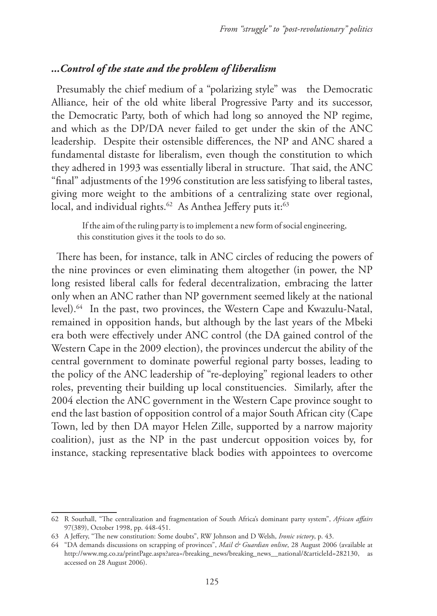## *...Control of the state and the problem of liberalism*

Presumably the chief medium of a "polarizing style" was the Democratic Alliance, heir of the old white liberal Progressive Party and its successor, the Democratic Party, both of which had long so annoyed the NP regime, and which as the DP/DA never failed to get under the skin of the ANC leadership. Despite their ostensible differences, the NP and ANC shared a fundamental distaste for liberalism, even though the constitution to which they adhered in 1993 was essentially liberal in structure. That said, the ANC "final" adjustments of the 1996 constitution are less satisfying to liberal tastes, giving more weight to the ambitions of a centralizing state over regional, local, and individual rights.<sup>62</sup> As Anthea Jeffery puts it:<sup>63</sup>

If the aim of the ruling party is to implement a new form of social engineering, this constitution gives it the tools to do so.

There has been, for instance, talk in ANC circles of reducing the powers of the nine provinces or even eliminating them altogether (in power, the NP long resisted liberal calls for federal decentralization, embracing the latter only when an ANC rather than NP government seemed likely at the national level).64 In the past, two provinces, the Western Cape and Kwazulu-Natal, remained in opposition hands, but although by the last years of the Mbeki era both were effectively under ANC control (the DA gained control of the Western Cape in the 2009 election), the provinces undercut the ability of the central government to dominate powerful regional party bosses, leading to the policy of the ANC leadership of "re-deploying" regional leaders to other roles, preventing their building up local constituencies. Similarly, after the 2004 election the ANC government in the Western Cape province sought to end the last bastion of opposition control of a major South African city (Cape Town, led by then DA mayor Helen Zille, supported by a narrow majority coalition), just as the NP in the past undercut opposition voices by, for instance, stacking representative black bodies with appointees to overcome

<sup>62</sup> R Southall, "The centralization and fragmentation of South Africa's dominant party system", *African affairs* 97(389), October 1998, pp. 448-451.

<sup>63</sup> A Jeffery, "The new constitution: Some doubts", RW Johnson and D Welsh, *Ironic victory*, p. 43.

<sup>64</sup> "DA demands discussions on scrapping of provinces", *Mail & Guardian online*, 28 August 2006 (available at http://www.mg.co.za/printPage.aspx?area=/breaking\_news/breaking\_news\_\_national/&articleId=282130, as accessed on 28 August 2006).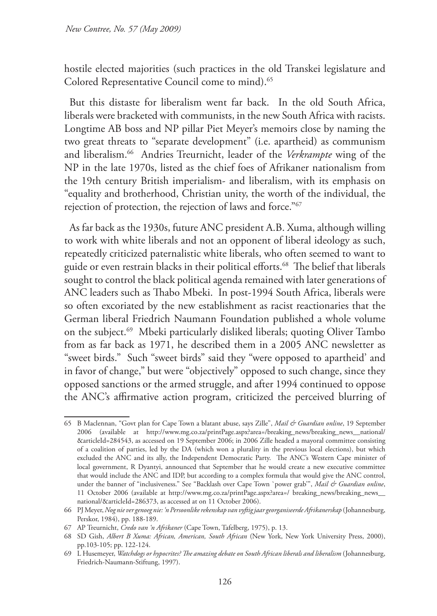hostile elected majorities (such practices in the old Transkei legislature and Colored Representative Council come to mind).<sup>65</sup>

But this distaste for liberalism went far back. In the old South Africa, liberals were bracketed with communists, in the new South Africa with racists. Longtime AB boss and NP pillar Piet Meyer's memoirs close by naming the two great threats to "separate development" (i.e. apartheid) as communism and liberalism.66 Andries Treurnicht, leader of the *Verkrampte* wing of the NP in the late 1970s, listed as the chief foes of Afrikaner nationalism from the 19th century British imperialism- and liberalism, with its emphasis on "equality and brotherhood, Christian unity, the worth of the individual, the rejection of protection, the rejection of laws and force."67

As far back as the 1930s, future ANC president A.B. Xuma, although willing to work with white liberals and not an opponent of liberal ideology as such, repeatedly criticized paternalistic white liberals, who often seemed to want to guide or even restrain blacks in their political efforts.<sup>68</sup> The belief that liberals sought to control the black political agenda remained with later generations of ANC leaders such as Thabo Mbeki. In post-1994 South Africa, liberals were so often excoriated by the new establishment as racist reactionaries that the German liberal Friedrich Naumann Foundation published a whole volume on the subject.69 Mbeki particularly disliked liberals; quoting Oliver Tambo from as far back as 1971, he described them in a 2005 ANC newsletter as "sweet birds." Such "sweet birds" said they "were opposed to apartheid' and in favor of change," but were "objectively" opposed to such change, since they opposed sanctions or the armed struggle, and after 1994 continued to oppose the ANC's affirmative action program, criticized the perceived blurring of

<sup>65</sup> B Maclennan, "Govt plan for Cape Town a blatant abuse, says Zille", *Mail & Guardian online*, 19 September 2006 (available at http://www.mg.co.za/printPage.aspx?area=/breaking\_news/breaking\_news\_\_national/ &articleId=284543, as accessed on 19 September 2006; in 2006 Zille headed a mayoral committee consisting of a coalition of parties, led by the DA (which won a plurality in the previous local elections), but which excluded the ANC and its ally, the Independent Democratic Party. The ANC's Western Cape minister of local government, R Dyantyi, announced that September that he would create a new executive committee that would include the ANC and IDP, but according to a complex formula that would give the ANC control, under the banner of "inclusiveness." See "Backlash over Cape Town `power grab'", *Mail & Guardian online*, 11 October 2006 (available at http://www.mg.co.za/printPage.aspx?area=/ breaking\_news/breaking\_news\_\_ national/&articleId=286373, as accessed at on 11 October 2006).

<sup>66</sup> PJ Meyer, *Nog nie ver genoeg nie: 'n Persoonlike rekenskap van vyftig jaar georganiseerde Afrikanerskap* (Johannesburg, Perskor, 1984), pp. 188-189.

<sup>67</sup> AP Treurnicht, *Credo van 'n Afrikaner* (Cape Town, Tafelberg, 1975), p. 13.

<sup>68</sup> SD Gish, *Albert B Xuma: African, American, South African* (New York, New York University Press, 2000), pp.103-105; pp. 122-124.

<sup>69</sup> L Husemeyer, *Watchdogs or hypocrites? The amazing debate on South African liberals and liberalism* (Johannesburg, Friedrich-Naumann-Stiftung, 1997).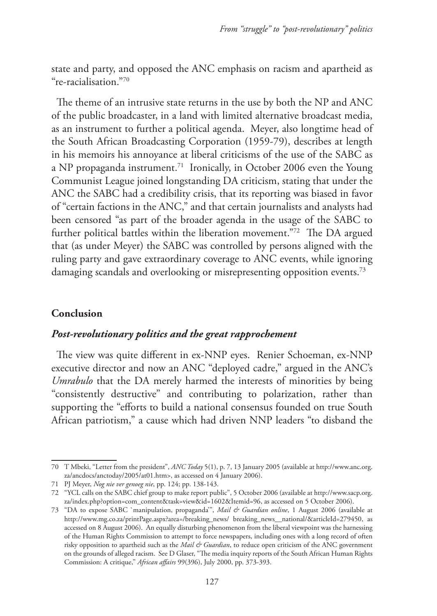state and party, and opposed the ANC emphasis on racism and apartheid as "re-racialisation."70

The theme of an intrusive state returns in the use by both the NP and ANC of the public broadcaster, in a land with limited alternative broadcast media, as an instrument to further a political agenda. Meyer, also longtime head of the South African Broadcasting Corporation (1959-79), describes at length in his memoirs his annoyance at liberal criticisms of the use of the SABC as a NP propaganda instrument.<sup>71</sup> Ironically, in October 2006 even the Young Communist League joined longstanding DA criticism, stating that under the ANC the SABC had a credibility crisis, that its reporting was biased in favor of "certain factions in the ANC," and that certain journalists and analysts had been censored "as part of the broader agenda in the usage of the SABC to further political battles within the liberation movement."72 The DA argued that (as under Meyer) the SABC was controlled by persons aligned with the ruling party and gave extraordinary coverage to ANC events, while ignoring damaging scandals and overlooking or misrepresenting opposition events.<sup>73</sup>

## **Conclusion**

## *Post-revolutionary politics and the great rapprochement*

The view was quite different in ex-NNP eyes. Renier Schoeman, ex-NNP executive director and now an ANC "deployed cadre," argued in the ANC's *Umrabulo* that the DA merely harmed the interests of minorities by being "consistently destructive" and contributing to polarization, rather than supporting the "efforts to build a national consensus founded on true South African patriotism," a cause which had driven NNP leaders "to disband the

<sup>70</sup> T Mbeki, "Letter from the president", *ANC Today* 5(1), p. 7, 13 January 2005 (available at http://www.anc.org. za/ancdocs/anctoday/2005/at01.htm>, as accessed on 4 January 2006).

<sup>71</sup> PJ Meyer, *Nog nie ver genoeg nie*, pp. 124; pp. 138-143.

<sup>72</sup> "YCL calls on the SABC chief group to make report public", 5 October 2006 (available at http://www.sacp.org. za/index.php?option=com\_content&task=view&id=1602&Itemid=96, as accessed on 5 October 2006).

<sup>73</sup> "DA to expose SABC `manipulation, propaganda'", *Mail & Guardian online*, 1 August 2006 (available at http://www.mg.co.za/printPage.aspx?area=/breaking\_news/ breaking\_news\_\_national/&articleId=279450, as accessed on 8 August 2006). An equally disturbing phenomenon from the liberal viewpoint was the harnessing of the Human Rights Commission to attempt to force newspapers, including ones with a long record of often risky opposition to apartheid such as the *Mail & Guardian*, to reduce open criticism of the ANC government on the grounds of alleged racism. See D Glaser, "The media inquiry reports of the South African Human Rights Commission: A critique," *African affairs* 99(396), July 2000, pp. 373-393.